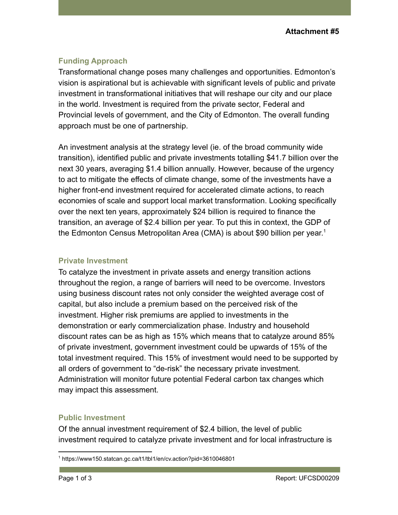### **Funding Approach**

Transformational change poses many challenges and opportunities. Edmonton's vision is aspirational but is achievable with significant levels of public and private investment in transformational initiatives that will reshape our city and our place in the world. Investment is required from the private sector, Federal and Provincial levels of government, and the City of Edmonton. The overall funding approach must be one of partnership.

An investment analysis at the strategy level (ie. of the broad community wide transition), identified public and private investments totalling \$41.7 billion over the next 30 years, averaging \$1.4 billion annually. However, because of the urgency to act to mitigate the effects of climate change, some of the investments have a higher front-end investment required for accelerated climate actions, to reach economies of scale and support local market transformation. Looking specifically over the next ten years, approximately \$24 billion is required to finance the transition, an average of \$2.4 billion per year. To put this in context, the GDP of the Edmonton Census Metropolitan Area (CMA) is about \$90 billion per year.<sup>1</sup>

#### **Private Investment**

To catalyze the investment in private assets and energy transition actions throughout the region, a range of barriers will need to be overcome. Investors using business discount rates not only consider the weighted average cost of capital, but also include a premium based on the perceived risk of the investment. Higher risk premiums are applied to investments in the demonstration or early commercialization phase. Industry and household discount rates can be as high as 15% which means that to catalyze around 85% of private investment, government investment could be upwards of 15% of the total investment required. This 15% of investment would need to be supported by all orders of government to "de-risk" the necessary private investment. Administration will monitor future potential Federal carbon tax changes which may impact this assessment.

### **Public Investment**

Of the annual investment requirement of \$2.4 billion, the level of public investment required to catalyze private investment and for local infrastructure is

<sup>1</sup> https://www150.statcan.gc.ca/t1/tbl1/en/cv.action?pid=3610046801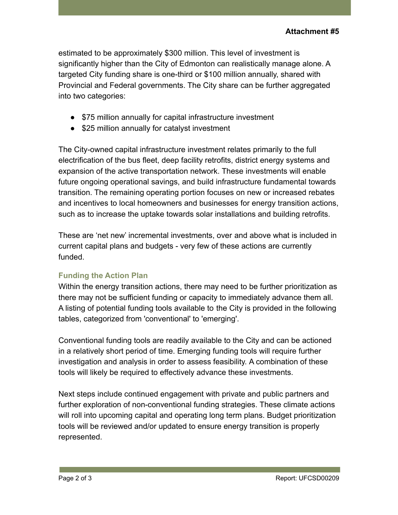estimated to be approximately \$300 million. This level of investment is significantly higher than the City of Edmonton can realistically manage alone. A targeted City funding share is one-third or \$100 million annually, shared with Provincial and Federal governments. The City share can be further aggregated into two categories:

- \$75 million annually for capital infrastructure investment
- \$25 million annually for catalyst investment

The City-owned capital infrastructure investment relates primarily to the full electrification of the bus fleet, deep facility retrofits, district energy systems and expansion of the active transportation network. These investments will enable future ongoing operational savings, and build infrastructure fundamental towards transition. The remaining operating portion focuses on new or increased rebates and incentives to local homeowners and businesses for energy transition actions, such as to increase the uptake towards solar installations and building retrofits.

These are 'net new' incremental investments, over and above what is included in current capital plans and budgets - very few of these actions are currently funded.

### **Funding the Action Plan**

Within the energy transition actions, there may need to be further prioritization as there may not be sufficient funding or capacity to immediately advance them all. A listing of potential funding tools available to the City is provided in the following tables, categorized from 'conventional' to 'emerging'.

Conventional funding tools are readily available to the City and can be actioned in a relatively short period of time. Emerging funding tools will require further investigation and analysis in order to assess feasibility. A combination of these tools will likely be required to effectively advance these investments.

Next steps include continued engagement with private and public partners and further exploration of non-conventional funding strategies. These climate actions will roll into upcoming capital and operating long term plans. Budget prioritization tools will be reviewed and/or updated to ensure energy transition is properly represented.